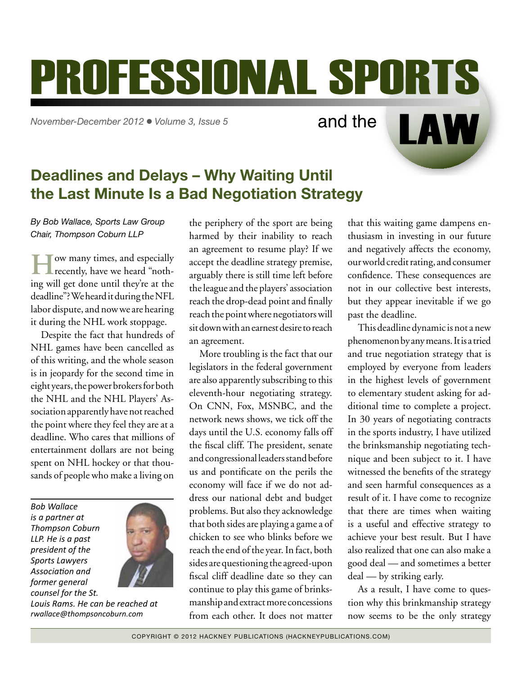# <span id="page-0-0"></span>**PROFESSIONAL SPORTS**

*November-December 2012* l *Volume 3, Issue 5*

and the

## Deadlines and Delays – Why Waiting Until the Last Minute Is a Bad Negotiation Strategy

*By Bob Wallace, Sports Law Group Chair, Thompson Coburn LLP*

**HO** ow many times, and especially recently, have we heard "nothing will get done until they're at the deadline"? We heard it during the NFL labor dispute, and now we are hearing it during the NHL work stoppage.

Despite the fact that hundreds of NHL games have been cancelled as of this writing, and the whole season is in jeopardy for the second time in eight years, the power brokers for both the NHL and the NHL Players' Association apparently have not reached the point where they feel they are at a deadline. Who cares that millions of entertainment dollars are not being spent on NHL hockey or that thousands of people who make a living on

*Bob Wallace is a partner at Thompson Coburn LLP. He is a past president of the Sports Lawyers Association and former general counsel for the St.* 



*Louis Rams. He can be reached at [rwallace@thompsoncoburn.com](mailto:rwallace@thompsoncoburn.com)*

the periphery of the sport are being harmed by their inability to reach an agreement to resume play? If we accept the deadline strategy premise, arguably there is still time left before the league and the players' association reach the drop-dead point and finally reach the point where negotiators will sit down with an earnest desire to reach an agreement.

More troubling is the fact that our legislators in the federal government are also apparently subscribing to this eleventh-hour negotiating strategy. On CNN, Fox, MSNBC, and the network news shows, we tick off the days until the U.S. economy falls off the fiscal cliff. The president, senate and congressional leaders stand before us and pontificate on the perils the economy will face if we do not address our national debt and budget problems. But also they acknowledge that both sides are playing a game a of chicken to see who blinks before we reach the end of the year. In fact, both sides are questioning the agreed-upon fiscal cliff deadline date so they can continue to play this game of brinksmanship and extract more concessions from each other. It does not matter

that this waiting game dampens enthusiasm in investing in our future and negatively affects the economy, our world credit rating, and consumer confidence. These consequences are not in our collective best interests, but they appear inevitable if we go past the deadline.

LAW

This deadline dynamic is not a new phenomenon by any means. It is a tried and true negotiation strategy that is employed by everyone from leaders in the highest levels of government to elementary student asking for additional time to complete a project. In 30 years of negotiating contracts in the sports industry, I have utilized the brinksmanship negotiating technique and been subject to it. I have witnessed the benefits of the strategy and seen harmful consequences as a result of it. I have come to recognize that there are times when waiting is a useful and effective strategy to achieve your best result. But I have also realized that one can also make a good deal — and sometimes a better deal — by striking early.

As a result, I have come to question why this brinkmanship strategy now seems to be the only strategy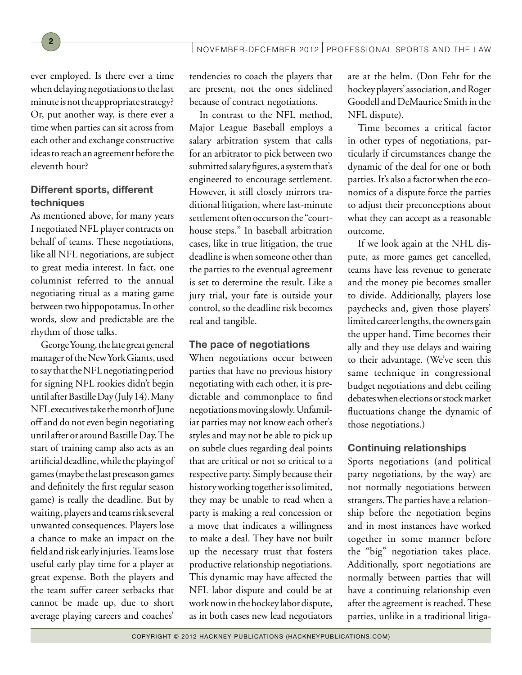ever employed. Is there ever a time when delaying negotiations to the last minute is not the appropriate strategy? Or, put another way, is there ever a time when parties can sit across from each other and exchange constructive ideas to reach an agreement before the eleventh hour?

2

#### Different sports, different techniques

As mentioned above, for many years I negotiated NFL player contracts on behalf of teams. These negotiations, like all NFL negotiations, are subject to great media interest. In fact, one columnist referred to the annual negotiating ritual as a mating game between two hippopotamus. In other words, slow and predictable are the rhythm of those talks.

George Young, the late great general manager of the New York Giants, used to say that the NFL negotiating period for signing NFL rookies didn't begin until after Bastille Day (July 14). Many NFL executives take the month of June off and do not even begin negotiating until after or around Bastille Day. The start of training camp also acts as an artificial deadline, while the playing of games (maybe the last preseason games and definitely the first regular season game) is really the deadline. But by waiting, players and teams risk several unwanted consequences. Players lose a chance to make an impact on the field and risk early injuries. Teams lose useful early play time for a player at great expense. Both the players and the team suffer career setbacks that cannot be made up, due to short average playing careers and coaches'

tendencies to coach the players that are present, not the ones sidelined because of contract negotiations.

In contrast to the NFL method, Major League Baseball employs a salary arbitration system that calls for an arbitrator to pick between two submitted salary figures, a system that's engineered to encourage settlement. However, it still closely mirrors traditional litigation, where last-minute settlement often occurs on the "courthouse steps." In baseball arbitration cases, like in true litigation, the true deadline is when someone other than the parties to the eventual agreement is set to determine the result. Like a jury trial, your fate is outside your control, so the deadline risk becomes real and tangible.

#### The pace of negotiations

When negotiations occur between parties that have no previous history negotiating with each other, it is predictable and commonplace to find negotiations moving slowly. Unfamiliar parties may not know each other's styles and may not be able to pick up on subtle clues regarding deal points that are critical or not so critical to a respective party. Simply because their history working together is so limited, they may be unable to read when a party is making a real concession or a move that indicates a willingness to make a deal. They have not built up the necessary trust that fosters productive relationship negotiations. This dynamic may have affected the NFL labor dispute and could be at work now in the hockey labor dispute, as in both cases new lead negotiators are at the helm. (Don Fehr for the hockey players' association, and Roger Goodell and DeMaurice Smith in the NFL dispute).

Time becomes a critical factor in other types of negotiations, particularly if circumstances change the dynamic of the deal for one or both parties. It's also a factor when the economics of a dispute force the parties to adjust their preconceptions about what they can accept as a reasonable outcome.

If we look again at the NHL dispute, as more games get cancelled, teams have less revenue to generate and the money pie becomes smaller to divide. Additionally, players lose paychecks and, given those players' limited career lengths, the owners gain the upper hand. Time becomes their ally and they use delays and waiting to their advantage. (We've seen this same technique in congressional budget negotiations and debt ceiling debates when elections or stock market fluctuations change the dynamic of those negotiations.)

### Continuing relationships

Sports negotiations (and political party negotiations, by the way) are not normally negotiations between strangers. The parties have a relationship before the negotiation begins and in most instances have worked together in some manner before the "big" negotiation takes place. Additionally, sport negotiations are normally between parties that will have a continuing relationship even after the agreement is reached. These parties, unlike in a traditional litiga-